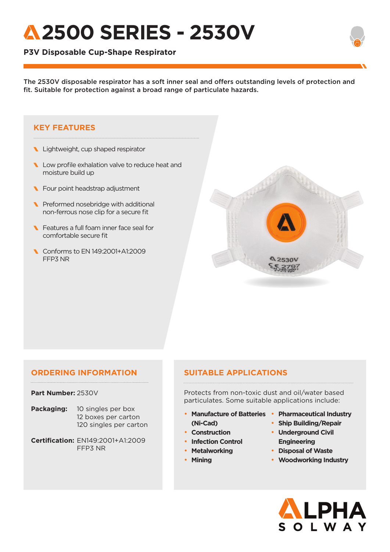# **2500 SERIES - 2530V**

### **P3V Disposable Cup-Shape Respirator**

The 2530V disposable respirator has a soft inner seal and offers outstanding levels of protection and fit. Suitable for protection against a broad range of particulate hazards.

#### **KEY FEATURES**

- Lightweight, cup shaped respirator
- Low profile exhalation valve to reduce heat and moisture build up
- **N** Four point headstrap adjustment
- Preformed nosebridge with additional non-ferrous nose clip for a secure fit
- **N** Features a full foam inner face seal for comfortable secure fit
- Conforms to EN 149:2001+A1:2009 FFP3 NR



#### **ORDERING INFORMATION**

#### **Part Number:** 2530V

- **Packaging:** 10 singles per box 12 boxes per carton 120 singles per carton
- **Certification:** EN149:2001+A1:2009 FFP3 NR

### **SUITABLE APPLICATIONS**

Protects from non-toxic dust and oil/water based particulates. Some suitable applications include:

- **Manufacture of Batteries Pharmaceutical Industry (Ni-Cad)**
- **Construction**
- **Infection Control**
- **Metalworking**
- **Mining**
- 
- **Ship Building/Repair** • **Underground Civil**
- **Engineering** • **Disposal of Waste**
- **Woodworking Industry**